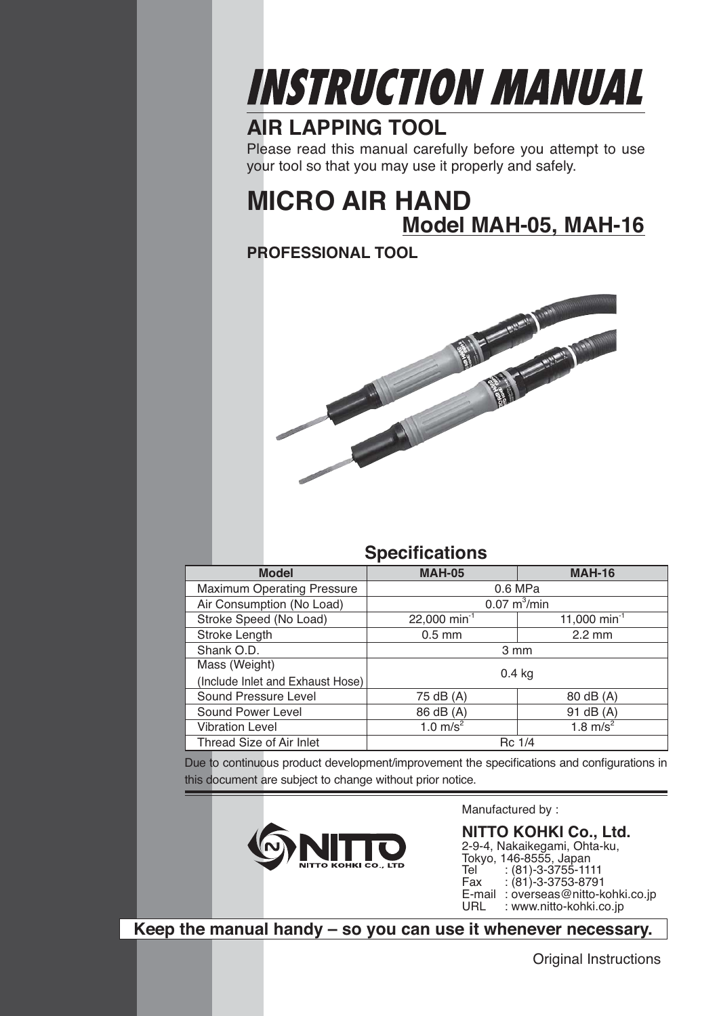

## **AIR LAPPING TOOL**

Please read this manual carefully before you attempt to use your tool so that you may use it properly and safely.

## **MICRO AIR HAND Model MAH-05, MAH-16**

**PROFESSIONAL TOOL**



## **Specifications**

| <b>Model</b>                      | <b>MAH-05</b>                 | <b>MAH-16</b>            |
|-----------------------------------|-------------------------------|--------------------------|
| <b>Maximum Operating Pressure</b> | 0.6 MPa                       |                          |
| Air Consumption (No Load)         | $0.07 \text{ m}^3/\text{min}$ |                          |
| Stroke Speed (No Load)            | 22,000 min <sup>-1</sup>      | 11,000 min <sup>-1</sup> |
| Stroke Length                     | $0.5$ mm                      | $2.2 \text{ mm}$         |
| Shank O.D.                        | 3 mm                          |                          |
| Mass (Weight)                     |                               |                          |
| (Include Inlet and Exhaust Hose)  | $0.4$ kg                      |                          |
| Sound Pressure Level              | 75 dB (A)<br>80 dB (A)        |                          |
| Sound Power Level                 | 86 dB (A)                     | 91 dB (A)                |
| <b>Vibration Level</b>            | 1.0 $m/s^2$                   | 1.8 $m/s^2$              |
| Thread Size of Air Inlet          | Rc 1/4                        |                          |

Due to continuous product development/improvement the specifications and configurations in this document are subject to change without prior notice.



Manufactured by :

**NITTO KOHKI Co., Ltd.** 2-9-4, Nakaikegami, Ohta-ku, Tokyo, 146-8555, Japan<br>Tel : (81)-3-3755-111 Tel (81)-3-3755-1111<br>Fax : (81)-3-3753-8791  $: (81)$ -3-3753-8791 E-mail: overseas@nitto-kohki.co.jp<br>URL: : www.nitto-kohki.co.jp : www.nitto-kohki.co.jp

**Keep the manual handy – so you can use it whenever necessary.**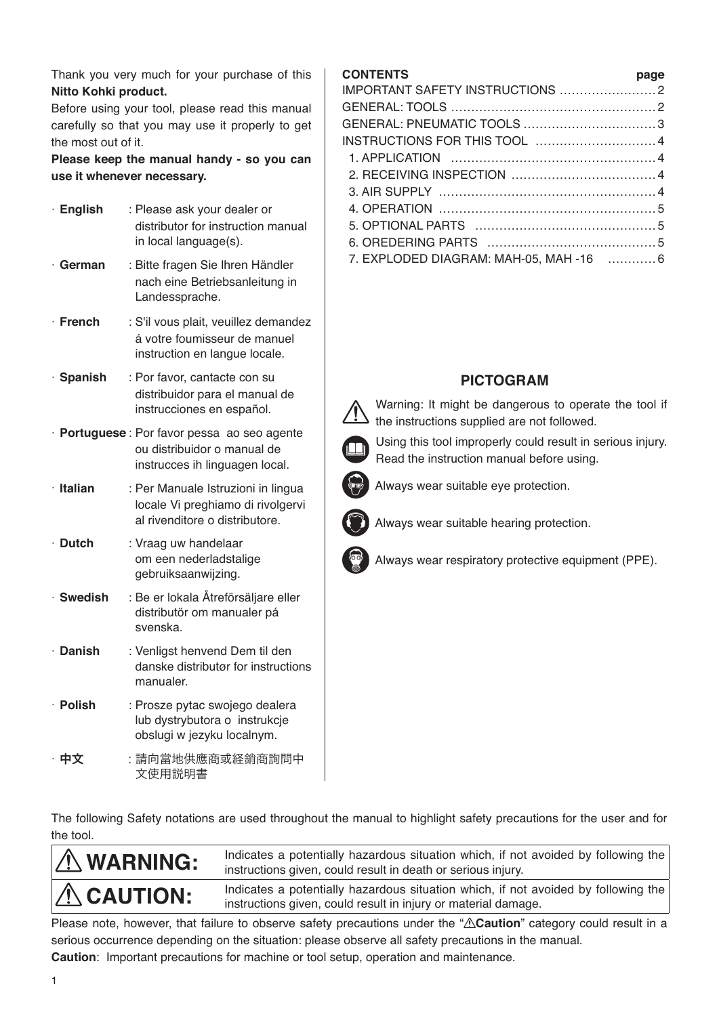Thank you very much for your purchase of this **Nitto Kohki product.**

Before using your tool, please read this manual carefully so that you may use it properly to get the most out of it.

**Please keep the manual handy - so you can use it whenever necessary.**

| · English       | : Please ask your dealer or<br>distributor for instruction manual<br>in local language(s).                   |
|-----------------|--------------------------------------------------------------------------------------------------------------|
| ∙ German        | : Bitte fragen Sie Ihren Händler<br>nach eine Betriebsanleitung in<br>Landessprache.                         |
| $\cdot$ French  | : S'il vous plait, veuillez demandez<br>á votre foumisseur de manuel<br>instruction en langue locale.        |
| · Spanish       | : Por favor, cantacte con su<br>distribuidor para el manual de<br>instrucciones en español.                  |
|                 | · Portuguese: Por favor pessa ao seo agente<br>ou distribuidor o manual de<br>instrucces ih linguagen local. |
| $\cdot$ Italian | : Per Manuale Istruzioni in lingua<br>locale Vi preghiamo di rivolgervi<br>al rivenditore o distributore.    |
| $\cdot$ Dutch   | : Vraag uw handelaar<br>om een nederladstalige<br>gebruiksaanwijzing.                                        |
| · Swedish       | : Be er lokala Åtreförsäljare eller<br>distributör om manualer pá<br>svenska.                                |
| · Danish        | : Venligst henvend Dem til den<br>danske distributør for instructions<br>manualer.                           |
| $\cdot$ Polish  | : Prosze pytac swojego dealera<br>lub dystrybutora o instrukcje<br>obslugi w jezyku localnym.                |
| 中文              | :請向當地供應商或経銷商詢問中<br>文使用説明書                                                                                    |

#### **CONTENTS page**

| 7. EXPLODED DIAGRAM: MAH-05, MAH -16  6 |  |
|-----------------------------------------|--|
|                                         |  |

## **PICTOGRAM**

 Warning: It might be dangerous to operate the tool if the instructions supplied are not followed.



 Using this tool improperly could result in serious injury. Read the instruction manual before using.



Always wear suitable eye protection.



Always wear suitable hearing protection.

Always wear respiratory protective equipment (PPE).

The following Safety notations are used throughout the manual to highlight safety precautions for the user and for the tool.

| $\Lambda$ WARNING: | Indicates a potentially hazardous situation which, if not avoided by following the<br>instructions given, could result in death or serious injury.   |
|--------------------|------------------------------------------------------------------------------------------------------------------------------------------------------|
| $\Lambda$ CAUTION: | Indicates a potentially hazardous situation which, if not avoided by following the<br>instructions given, could result in injury or material damage. |

Please note, however, that failure to observe safety precautions under the " $\triangle$ Caution" category could result in a serious occurrence depending on the situation: please observe all safety precautions in the manual.

**Caution**: Important precautions for machine or tool setup, operation and maintenance.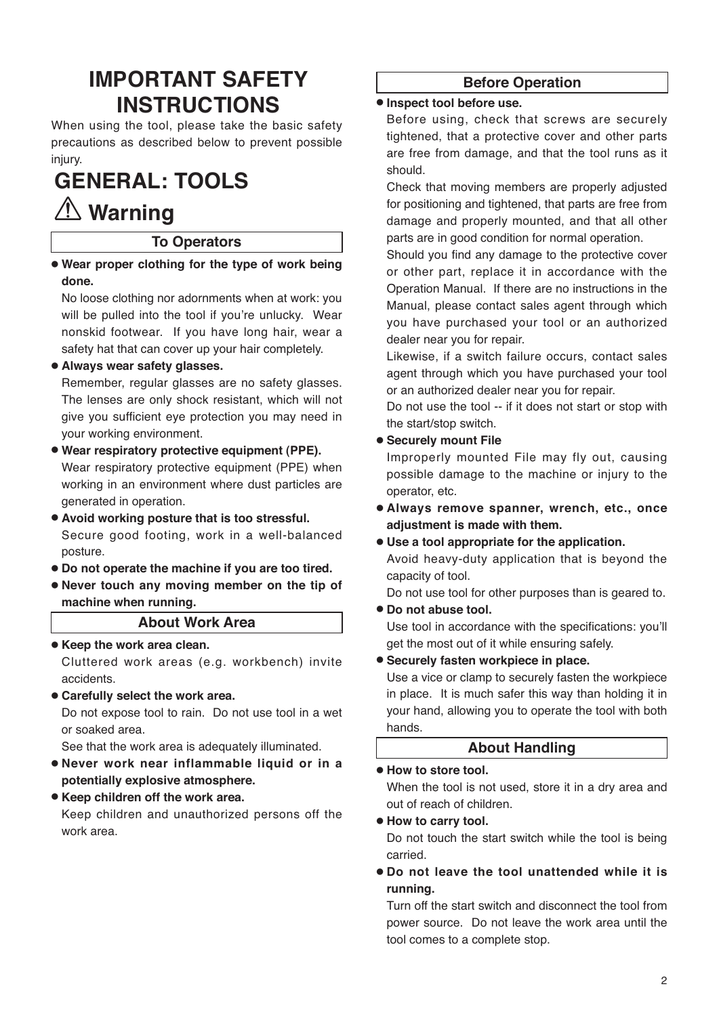## **IMPORTANT SAFETY INSTRUCTIONS**

When using the tool, please take the basic safety precautions as described below to prevent possible injury.

# **GENERAL: TOOLS**

## **Warning**

## **To Operators**

● **Wear proper clothing for the type of work being done.**

No loose clothing nor adornments when at work: you will be pulled into the tool if you're unlucky. Wear nonskid footwear. If you have long hair, wear a safety hat that can cover up your hair completely.

### ● **Always wear safety glasses.**

Remember, regular glasses are no safety glasses. The lenses are only shock resistant, which will not give you sufficient eye protection you may need in your working environment.

- **Wear respiratory protective equipment (PPE).**  Wear respiratory protective equipment (PPE) when working in an environment where dust particles are generated in operation.
- **Avoid working posture that is too stressful.**  Secure good footing, work in a well-balanced posture.
- **Do not operate the machine if you are too tired.**
- **Never touch any moving member on the tip of machine when running.**

#### **About Work Area**

● **Keep the work area clean.**

Cluttered work areas (e.g. workbench) invite accidents.

● **Carefully select the work area.**

Do not expose tool to rain. Do not use tool in a wet or soaked area.

See that the work area is adequately illuminated.

- **Never work near inflammable liquid or in a potentially explosive atmosphere.**
- **Keep children off the work area.**

Keep children and unauthorized persons off the work area.

## **Before Operation**

#### ● **Inspect tool before use.**

Before using, check that screws are securely tightened, that a protective cover and other parts are free from damage, and that the tool runs as it should.

Check that moving members are properly adjusted for positioning and tightened, that parts are free from damage and properly mounted, and that all other parts are in good condition for normal operation.

Should you find any damage to the protective cover or other part, replace it in accordance with the Operation Manual. If there are no instructions in the Manual, please contact sales agent through which you have purchased your tool or an authorized dealer near you for repair.

Likewise, if a switch failure occurs, contact sales agent through which you have purchased your tool or an authorized dealer near you for repair.

Do not use the tool -- if it does not start or stop with the start/stop switch.

● **Securely mount File**

Improperly mounted File may fly out, causing possible damage to the machine or injury to the operator, etc.

- **Always remove spanner, wrench, etc., once adjustment is made with them.**
- **Use a tool appropriate for the application.**

Avoid heavy-duty application that is beyond the capacity of tool.

Do not use tool for other purposes than is geared to. ● **Do not abuse tool.** 

- Use tool in accordance with the specifications: you'll get the most out of it while ensuring safely.
- **Securely fasten workpiece in place.**

Use a vice or clamp to securely fasten the workpiece in place. It is much safer this way than holding it in your hand, allowing you to operate the tool with both hands.

## **About Handling**

#### ● **How to store tool.**

When the tool is not used, store it in a dry area and out of reach of children.

● **How to carry tool.**

Do not touch the start switch while the tool is being carried.

● **Do not leave the tool unattended while it is running.**

Turn off the start switch and disconnect the tool from power source. Do not leave the work area until the tool comes to a complete stop.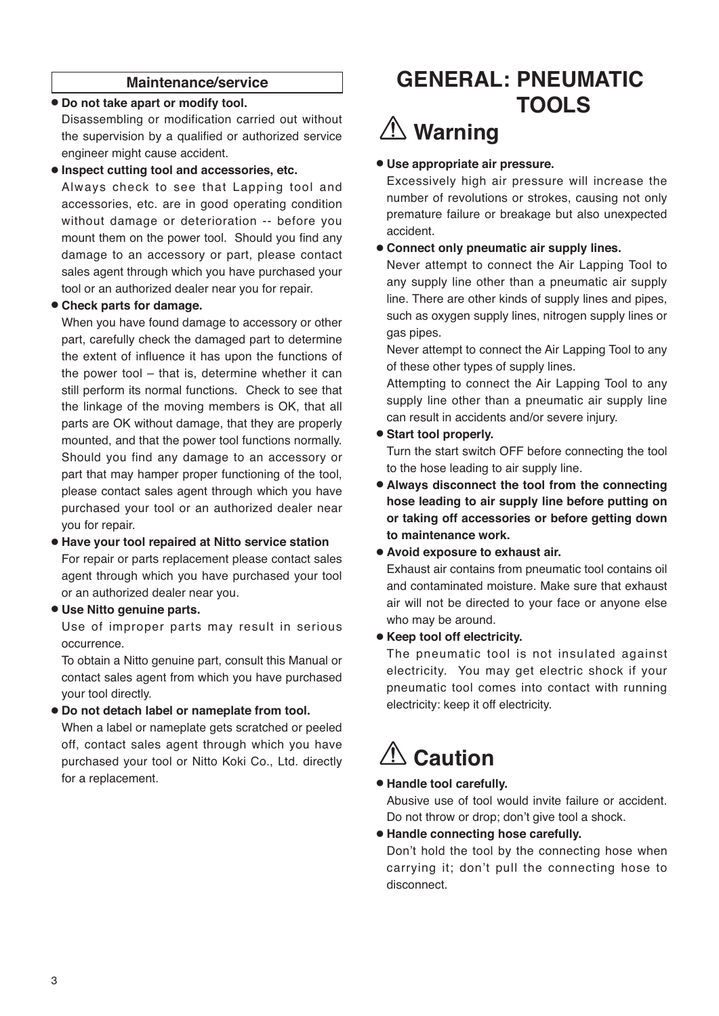#### **Maintenance/service**

#### ● **Do not take apart or modify tool.**

Disassembling or modification carried out without the supervision by a qualified or authorized service engineer might cause accident.

#### ● **Inspect cutting tool and accessories, etc.**

Always check to see that Lapping tool and accessories, etc. are in good operating condition without damage or deterioration -- before you mount them on the power tool. Should you find any damage to an accessory or part, please contact sales agent through which you have purchased your tool or an authorized dealer near you for repair.

#### ● **Check parts for damage.**

When you have found damage to accessory or other part, carefully check the damaged part to determine the extent of influence it has upon the functions of the power tool – that is, determine whether it can still perform its normal functions. Check to see that the linkage of the moving members is OK, that all parts are OK without damage, that they are properly mounted, and that the power tool functions normally. Should you find any damage to an accessory or part that may hamper proper functioning of the tool, please contact sales agent through which you have purchased your tool or an authorized dealer near you for repair.

## ● **Have your tool repaired at Nitto service station**

For repair or parts replacement please contact sales agent through which you have purchased your tool or an authorized dealer near you.

#### ● **Use Nitto genuine parts.**

Use of improper parts may result in serious occurrence.

To obtain a Nitto genuine part, consult this Manual or contact sales agent from which you have purchased your tool directly.

#### ● **Do not detach label or nameplate from tool.**

When a label or nameplate gets scratched or peeled off, contact sales agent through which you have purchased your tool or Nitto Koki Co., Ltd. directly for a replacement.

## **GENERAL: PNEUMATIC TOOLS**

# **Warning**

#### ● **Use appropriate air pressure.**

Excessively high air pressure will increase the number of revolutions or strokes, causing not only premature failure or breakage but also unexpected accident.

#### ● **Connect only pneumatic air supply lines.**

Never attempt to connect the Air Lapping Tool to any supply line other than a pneumatic air supply line. There are other kinds of supply lines and pipes, such as oxygen supply lines, nitrogen supply lines or gas pipes.

Never attempt to connect the Air Lapping Tool to any of these other types of supply lines.

Attempting to connect the Air Lapping Tool to any supply line other than a pneumatic air supply line can result in accidents and/or severe injury.

#### ● **Start tool properly.**

Turn the start switch OFF before connecting the tool to the hose leading to air supply line.

- **Always disconnect the tool from the connecting hose leading to air supply line before putting on or taking off accessories or before getting down to maintenance work.**
- **Avoid exposure to exhaust air.**

Exhaust air contains from pneumatic tool contains oil and contaminated moisture. Make sure that exhaust air will not be directed to your face or anyone else who may be around.

#### ● **Keep tool off electricity.**

The pneumatic tool is not insulated against electricity. You may get electric shock if your pneumatic tool comes into contact with running electricity: keep it off electricity.

# **Caution**

#### ● **Handle tool carefully.**

Abusive use of tool would invite failure or accident. Do not throw or drop; don't give tool a shock.

#### ● **Handle connecting hose carefully.**

Don't hold the tool by the connecting hose when carrying it; don't pull the connecting hose to disconnect.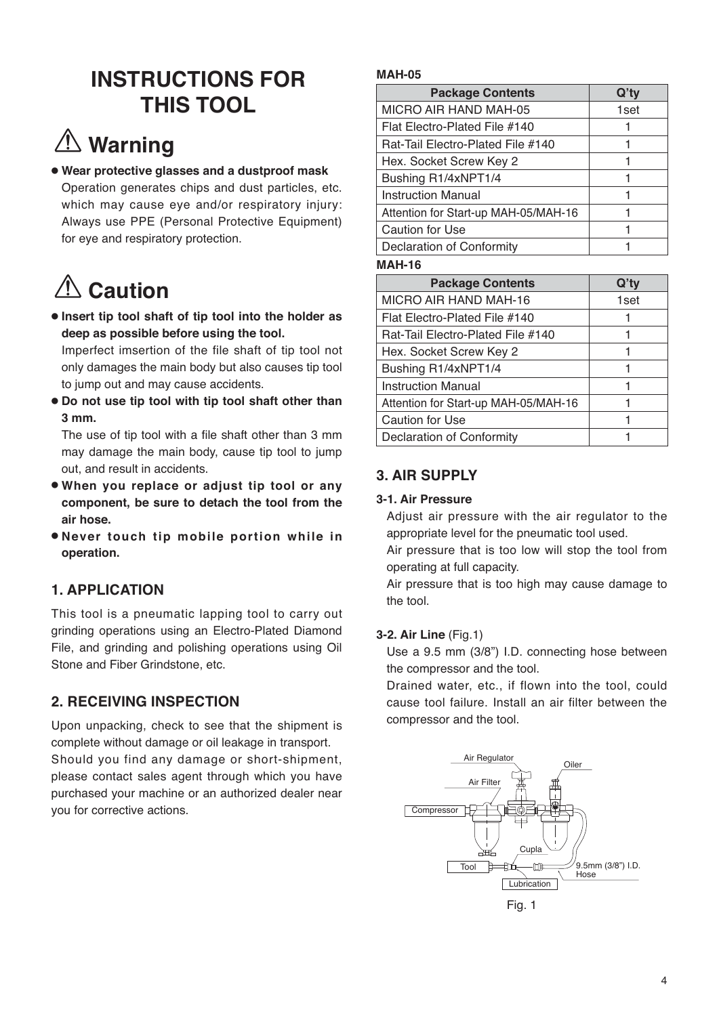## **INSTRUCTIONS FOR THIS TOOL**

# **Warning**

● **Wear protective glasses and a dustproof mask**  Operation generates chips and dust particles, etc. which may cause eye and/or respiratory injury: Always use PPE (Personal Protective Equipment) for eye and respiratory protection.

# **<u></u> ∴ Caution**

● **Insert tip tool shaft of tip tool into the holder as deep as possible before using the tool.**

Imperfect imsertion of the file shaft of tip tool not only damages the main body but also causes tip tool to jump out and may cause accidents.

● **Do not use tip tool with tip tool shaft other than 3 mm.**

The use of tip tool with a file shaft other than 3 mm may damage the main body, cause tip tool to jump out, and result in accidents.

- **When you replace or adjust tip tool or any component, be sure to detach the tool from the air hose.**
- **Never touch tip mobile portion while in operation.**

## **1. APPLICATION**

This tool is a pneumatic lapping tool to carry out grinding operations using an Electro-Plated Diamond File, and grinding and polishing operations using Oil Stone and Fiber Grindstone, etc.

## **2. RECEIVING INSPECTION**

Upon unpacking, check to see that the shipment is complete without damage or oil leakage in transport. Should you find any damage or short-shipment, please contact sales agent through which you have purchased your machine or an authorized dealer near you for corrective actions.

## **MAH-05**

| <b>Package Contents</b>              | Q'ty |
|--------------------------------------|------|
| MICRO AIR HAND MAH-05                | 1set |
| Flat Electro-Plated File #140        |      |
| Rat-Tail Electro-Plated File #140    |      |
| Hex. Socket Screw Key 2              |      |
| Bushing R1/4xNPT1/4                  |      |
| Instruction Manual                   |      |
| Attention for Start-up MAH-05/MAH-16 |      |
| <b>Caution for Use</b>               |      |
| Declaration of Conformity            |      |

### **MAH-16**

| <b>Package Contents</b>              | $Q'$ ty |
|--------------------------------------|---------|
| MICRO AIR HAND MAH-16                | 1set    |
| Flat Electro-Plated File #140        |         |
| Rat-Tail Electro-Plated File #140    |         |
| Hex. Socket Screw Key 2              |         |
| Bushing R1/4xNPT1/4                  |         |
| Instruction Manual                   |         |
| Attention for Start-up MAH-05/MAH-16 |         |
| <b>Caution for Use</b>               |         |
| Declaration of Conformity            |         |

## **3. AIR SUPPLY**

## **3-1. Air Pressure**

Adjust air pressure with the air regulator to the appropriate level for the pneumatic tool used.

Air pressure that is too low will stop the tool from operating at full capacity.

Air pressure that is too high may cause damage to the tool.

## **3-2. Air Line** (Fig.1)

Use a 9.5 mm (3/8") I.D. connecting hose between the compressor and the tool.

Drained water, etc., if flown into the tool, could cause tool failure. Install an air filter between the compressor and the tool.

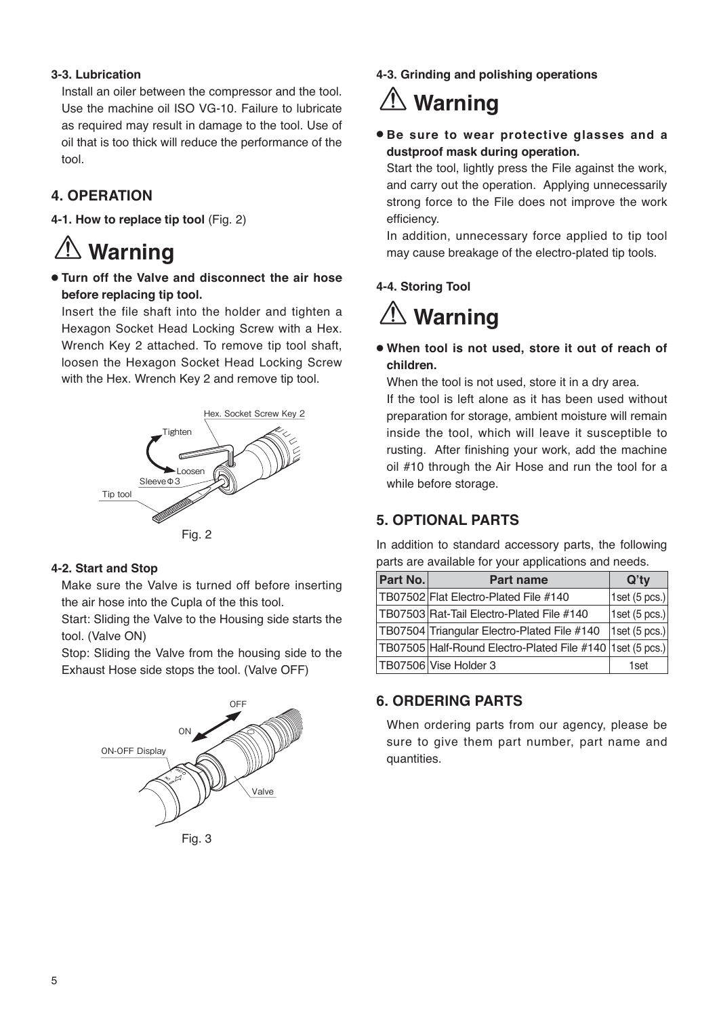#### **3-3. Lubrication**

Install an oiler between the compressor and the tool. Use the machine oil ISO VG-10. Failure to lubricate as required may result in damage to the tool. Use of oil that is too thick will reduce the performance of the tool.

## **4. OPERATION**

**4-1. How to replace tip tool** (Fig. 2)

# **Warning**

● **Turn off the Valve and disconnect the air hose before replacing tip tool.**

Insert the file shaft into the holder and tighten a Hexagon Socket Head Locking Screw with a Hex. Wrench Key 2 attached. To remove tip tool shaft, loosen the Hexagon Socket Head Locking Screw with the Hex. Wrench Key 2 and remove tip tool.



Fig. 2

#### **4-2. Start and Stop**

Make sure the Valve is turned off before inserting the air hose into the Cupla of the this tool.

Start: Sliding the Valve to the Housing side starts the tool. (Valve ON)

Stop: Sliding the Valve from the housing side to the Exhaust Hose side stops the tool. (Valve OFF)



Fig. 3

**4-3. Grinding and polishing operations**

# **Warning**

● **Be sure to wear protective glasses and a dustproof mask during operation.**

Start the tool, lightly press the File against the work, and carry out the operation. Applying unnecessarily strong force to the File does not improve the work efficiency.

In addition, unnecessary force applied to tip tool may cause breakage of the electro-plated tip tools.

### **4-4. Storing Tool**

**Warning**

● **When tool is not used, store it out of reach of children.**

When the tool is not used, store it in a dry area.

If the tool is left alone as it has been used without preparation for storage, ambient moisture will remain inside the tool, which will leave it susceptible to rusting. After finishing your work, add the machine oil #10 through the Air Hose and run the tool for a while before storage.

## **5. OPTIONAL PARTS**

In addition to standard accessory parts, the following parts are available for your applications and needs.

| Part No. | <b>Part name</b>                                            | $Q'$ ty           |
|----------|-------------------------------------------------------------|-------------------|
|          | TB07502 Flat Electro-Plated File #140                       | $ 1$ set (5 pcs.) |
|          | TB07503 Rat-Tail Electro-Plated File #140                   | 1set $(5 pcs.)$   |
|          | TB07504 Triangular Electro-Plated File #140                 | 1set $(5 pcs.)$   |
|          | TB07505 Half-Round Electro-Plated File #140   1set (5 pcs.) |                   |
|          | TB07506 Vise Holder 3                                       | 1 <sub>set</sub>  |

## **6. ORDERING PARTS**

When ordering parts from our agency, please be sure to give them part number, part name and quantities.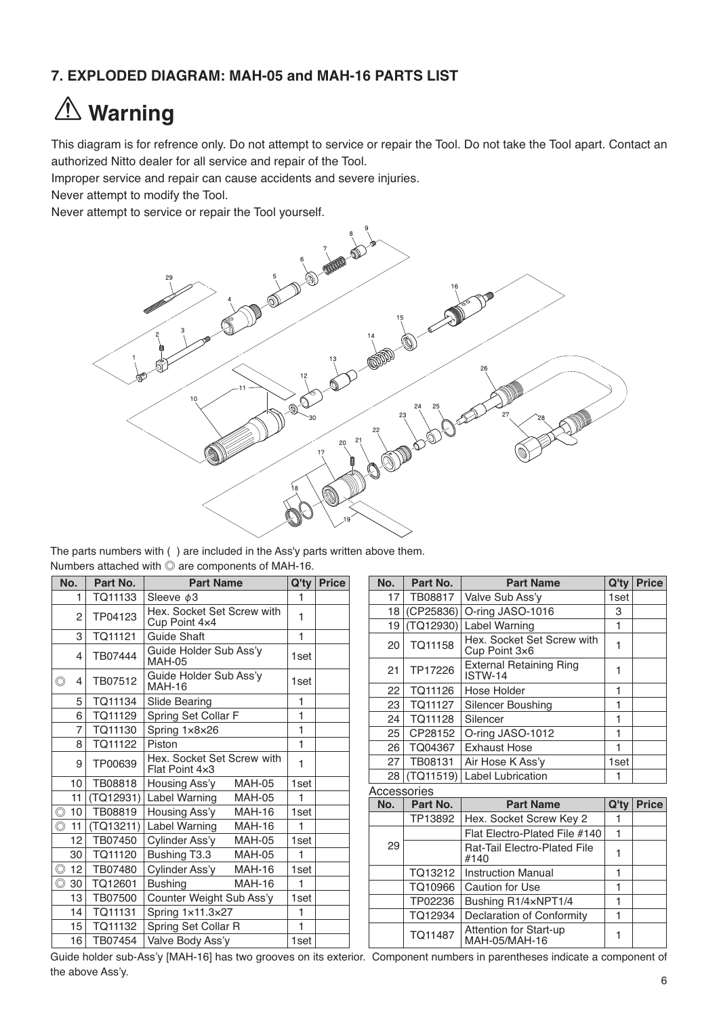## **7. EXPLODED DIAGRAM: MAH-05 and MAH-16 PARTS LIST**

# **Warning**

This diagram is for refrence only. Do not attempt to service or repair the Tool. Do not take the Tool apart. Contact an authorized Nitto dealer for all service and repair of the Tool.

Improper service and repair can cause accidents and severe injuries.

Never attempt to modify the Tool.

Never attempt to service or repair the Tool yourself.



The parts numbers with ( ) are included in the Ass'y parts written above them. Numbers attached with ◎ are components of MAH-16.

|                | No.            | Part No.  | <b>Part Name</b>                             | $Q'$ ty | <b>Price</b> |
|----------------|----------------|-----------|----------------------------------------------|---------|--------------|
|                | 1              | TQ11133   | Sleeve $\phi$ 3                              | 1       |              |
|                | 2              | TP04123   | Hex. Socket Set Screw with<br>Cup Point 4x4  | 1       |              |
|                | 3              | TQ11121   | <b>Guide Shaft</b>                           | 1       |              |
|                | 4              | TB07444   | Guide Holder Sub Ass'y<br><b>MAH-05</b>      | 1set    |              |
| $\circledcirc$ | 4              | TB07512   | Guide Holder Sub Ass'y<br><b>MAH-16</b>      | 1set    |              |
|                | 5              | TQ11134   | Slide Bearing                                | 1       |              |
|                | 6              | TQ11129   | Spring Set Collar F                          | 1       |              |
|                | $\overline{7}$ | TQ11130   | Spring 1x8x26                                | 1       |              |
|                | 8              | TQ11122   | Piston                                       | 1       |              |
|                | 9              | TP00639   | Hex. Socket Set Screw with<br>Flat Point 4x3 | 1       |              |
|                | 10             | TB08818   | <b>MAH-05</b><br>Housing Ass'y               | 1set    |              |
|                | 11             | (TQ12931) | Label Warning<br><b>MAH-05</b>               | 1       |              |
| $\circledcirc$ | 10             | TB08819   | Housing Ass'y<br><b>MAH-16</b>               | 1set    |              |
| $\circledcirc$ | 11             | (TQ13211) | Label Warning<br><b>MAH-16</b>               | 1       |              |
|                | 12             | TB07450   | Cylinder Ass'y<br><b>MAH-05</b>              | 1set    |              |
|                | 30             | TQ11120   | Bushing T3.3<br><b>MAH-05</b>                | 1       |              |
| $\circledcirc$ | 12             | TB07480   | Cylinder Ass'y<br><b>MAH-16</b>              | 1set    |              |
| $\circledcirc$ | 30             | TQ12601   | <b>Bushing</b><br><b>MAH-16</b>              | 1       |              |
|                | 13             | TB07500   | Counter Weight Sub Ass'y                     | 1set    |              |
|                | 14             | TQ11131   | Spring 1x11.3x27                             | 1       |              |
|                | 15             | TQ11132   | Spring Set Collar R                          | 1       |              |
|                | 16             | TB07454   | Valve Body Ass'y                             | 1set    |              |

| No.         | Part No.  | <b>Part Name</b>                            | $Q'$ ty | <b>Price</b> |
|-------------|-----------|---------------------------------------------|---------|--------------|
| 17          | TB08817   | Valve Sub Ass'y                             | 1set    |              |
| 18          | (CP25836) | O-ring JASO-1016                            | З       |              |
| 19          | (TQ12930) | Label Warning                               | 1       |              |
| 20          | TQ11158   | Hex. Socket Set Screw with<br>Cup Point 3×6 | 1       |              |
| 21          | TP17226   | <b>External Retaining Ring</b><br>ISTW-14   | 1       |              |
| 22          | TQ11126   | Hose Holder                                 | 1       |              |
| 23          | TQ11127   | Silencer Boushing                           | 1       |              |
| 24          | TQ11128   | Silencer                                    | 1       |              |
| 25          | CP28152   | O-ring JASO-1012                            | 1       |              |
| 26          | TQ04367   | Exhaust Hose                                | 1       |              |
| 27          | TB08131   | Air Hose K Ass'y                            | 1set    |              |
| 28          | (TQ11519) | <b>Label Lubrication</b>                    | 1       |              |
| Accessories |           |                                             |         |              |
| No.         | Part No.  | <b>Part Name</b>                            | $Q'$ ty | <b>Price</b> |
|             | CORP TD   | Hay Sockat Scraw Kay 2                      | 1       |              |

| IVV. | Fail NU. | Fait Natile                             | W LV | гньс |
|------|----------|-----------------------------------------|------|------|
|      | TP13892  | Hex. Socket Screw Key 2                 |      |      |
|      |          | Flat Electro-Plated File #140           |      |      |
| 29   |          | Rat-Tail Electro-Plated File<br>#140    |      |      |
|      |          | TQ13212   Instruction Manual            |      |      |
|      | TQ10966  | Caution for Use                         |      |      |
|      | TP02236  | Bushing R1/4xNPT1/4                     |      |      |
|      | TQ12934  | Declaration of Conformity               |      |      |
|      | TQ11487  | Attention for Start-up<br>MAH-05/MAH-16 |      |      |

Guide holder sub-Ass'y [MAH-16] has two grooves on its exterior. Component numbers in parentheses indicate a component of the above Ass'y.